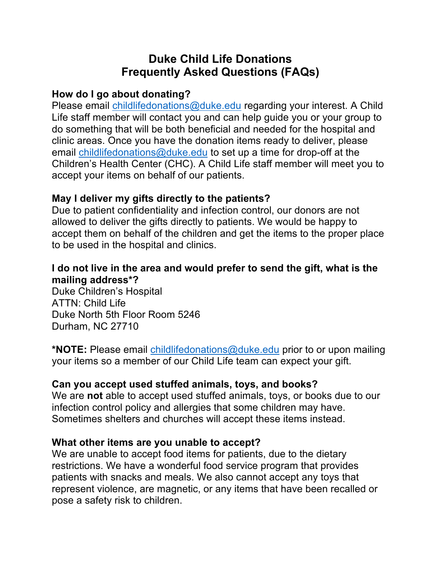# **Duke Child Life Donations Frequently Asked Questions (FAQs)**

### **How do I go about donating?**

Please email childlifedonations@duke.edu regarding your interest. A Child Life staff member will contact you and can help guide you or your group to do something that will be both beneficial and needed for the hospital and clinic areas. Once you have the donation items ready to deliver, please email childlifedonations@duke.edu to set up a time for drop-off at the Children's Health Center (CHC). A Child Life staff member will meet you to accept your items on behalf of our patients.

## **May I deliver my gifts directly to the patients?**

 Due to patient confidentiality and infection control, our donors are not allowed to deliver the gifts directly to patients. We would be happy to accept them on behalf of the children and get the items to the proper place to be used in the hospital and clinics.

### **I do not live in the area and would prefer to send the gift, what is the mailing address\*?**

 Duke Children's Hospital ATTN: Child Life Duke North 5th Floor Room 5246 Durham, NC 27710

 **\*NOTE:** Please email childlifedonations@duke.edu prior to or upon mailing your items so a member of our Child Life team can expect your gift.

## **Can you accept used stuffed animals, toys, and books?**

 We are **not** able to accept used stuffed animals, toys, or books due to our Sometimes shelters and churches will accept these items instead. infection control policy and allergies that some children may have.

### **What other items are you unable to accept?**

 We are unable to accept food items for patients, due to the dietary restrictions. We have a wonderful food service program that provides patients with snacks and meals. We also cannot accept any toys that represent violence, are magnetic, or any items that have been recalled or pose a safety risk to children.